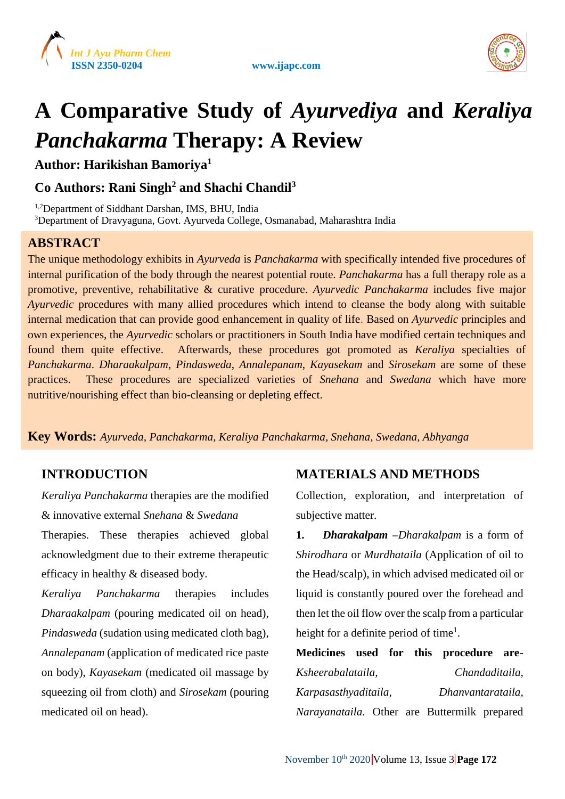





# **A Comparative Study of** *Ayurvediya* **and** *Keraliya Panchakarma* **Therapy: A Review**

**Author: Harikishan Bamoriya<sup>1</sup>**

# **Co Authors: Rani Singh<sup>2</sup> and Shachi Chandil<sup>3</sup>**

1,2Department of Siddhant Darshan, IMS, BHU, India <sup>3</sup>Department of Dravyaguna, Govt. Ayurveda College, Osmanabad, Maharashtra India

# **ABSTRACT**

The unique methodology exhibits in *Ayurveda* is *Panchakarma* with specifically intended five procedures of internal purification of the body through the nearest potential route. *Panchakarma* has a full therapy role as a promotive, preventive, rehabilitative & curative procedure. *Ayurvedic Panchakarma* includes five major *Ayurvedic* procedures with many allied procedures which intend to cleanse the body along with suitable internal medication that can provide good enhancement in quality of life. Based on *Ayurvedic* principles and own experiences, the *Ayurvedic* scholars or practitioners in South India have modified certain techniques and found them quite effective. Afterwards, these procedures got promoted as *Keraliya* specialties of *Panchakarma*. *Dharaakalpam*, *Pindasweda*, *Annalepanam*, *Kayasekam* and *Sirosekam* are some of these practices. These procedures are specialized varieties of *Snehana* and *Swedana* which have more nutritive/nourishing effect than bio-cleansing or depleting effect.

**Key Words:** *Ayurveda, Panchakarma, Keraliya Panchakarma, Snehana, Swedana, Abhyanga*

# **INTRODUCTION**

*Keraliya Panchakarma* therapies are the modified & innovative external *Snehana* & *Swedana* Therapies. These therapies achieved global acknowledgment due to their extreme therapeutic efficacy in healthy & diseased body.

*Keraliya Panchakarma* therapies includes *Dharaakalpam* (pouring medicated oil on head), *Pindasweda* (sudation using medicated cloth bag), *Annalepanam* (application of medicated rice paste on body), *Kayasekam* (medicated oil massage by squeezing oil from cloth) and *Sirosekam* (pouring medicated oil on head).

## **MATERIALS AND METHODS**

Collection, exploration, and interpretation of subjective matter.

**1.** *Dharakalpam* **–***Dharakalpam* is a form of *Shirodhara* or *Murdhataila* (Application of oil to the Head/scalp), in which advised medicated oil or liquid is constantly poured over the forehead and then let the oil flow over the scalp from a particular height for a definite period of time<sup>1</sup>.

**Medicines used for this procedure are**-*Ksheerabalataila, Chandaditaila, Karpasasthyaditaila, Dhanvantarataila, Narayanataila.* Other are Buttermilk prepared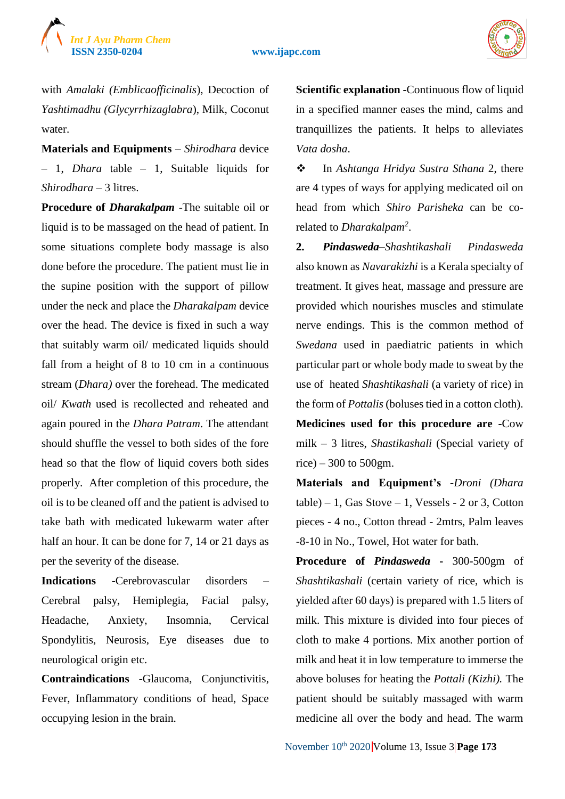



with *Amalaki (Emblicaofficinalis*), Decoction of *Yashtimadhu (Glycyrrhizaglabra*), Milk, Coconut water.

**Materials and Equipments** – *Shirodhara* device – 1, *Dhara* table – 1, Suitable liquids for *Shirodhara* – 3 litres.

**Procedure of** *Dharakalpam -*The suitable oil or liquid is to be massaged on the head of patient. In some situations complete body massage is also done before the procedure. The patient must lie in the supine position with the support of pillow under the neck and place the *Dharakalpam* device over the head. The device is fixed in such a way that suitably warm oil/ medicated liquids should fall from a height of 8 to 10 cm in a continuous stream (*Dhara)* over the forehead. The medicated oil/ *Kwath* used is recollected and reheated and again poured in the *Dhara Patram*. The attendant should shuffle the vessel to both sides of the fore head so that the flow of liquid covers both sides properly. After completion of this procedure, the oil is to be cleaned off and the patient is advised to take bath with medicated lukewarm water after half an hour. It can be done for 7, 14 or 21 days as per the severity of the disease.

**Indications -**Cerebrovascular disorders – Cerebral palsy, Hemiplegia, Facial palsy, Headache, Anxiety, Insomnia, Cervical Spondylitis, Neurosis, Eye diseases due to neurological origin etc.

**Contraindications -**Glaucoma, Conjunctivitis, Fever, Inflammatory conditions of head, Space occupying lesion in the brain.

**Scientific explanation -**Continuous flow of liquid in a specified manner eases the mind, calms and tranquillizes the patients. It helps to alleviates *Vata dosha*.

 In *Ashtanga Hridya Sustra Sthana* 2, there are 4 types of ways for applying medicated oil on head from which *Shiro Parisheka* can be corelated to *Dharakalpam<sup>2</sup>* .

**2.** *Pindasweda–Shashtikashali Pindasweda* also known as *Navarakizhi* is a Kerala specialty of treatment. It gives heat, massage and pressure are provided which nourishes muscles and stimulate nerve endings. This is the common method of *Swedana* used in paediatric patients in which particular part or whole body made to sweat by the use of heated *Shashtikashali* (a variety of rice) in the form of *Pottalis*(boluses tied in a cotton cloth). **Medicines used for this procedure are -**Cow milk – 3 litres, *Shastikashali* (Special variety of rice) – 300 to 500gm.

**Materials and Equipment's -***Droni (Dhara*  $table) - 1$ , Gas Stove – 1, Vessels - 2 or 3, Cotton pieces - 4 no., Cotton thread - 2mtrs, Palm leaves -8-10 in No., Towel, Hot water for bath.

**Procedure of** *Pindasweda* **-** 300-500gm of *Shashtikashali* (certain variety of rice, which is yielded after 60 days) is prepared with 1.5 liters of milk. This mixture is divided into four pieces of cloth to make 4 portions. Mix another portion of milk and heat it in low temperature to immerse the above boluses for heating the *Pottali (Kizhi).* The patient should be suitably massaged with warm medicine all over the body and head. The warm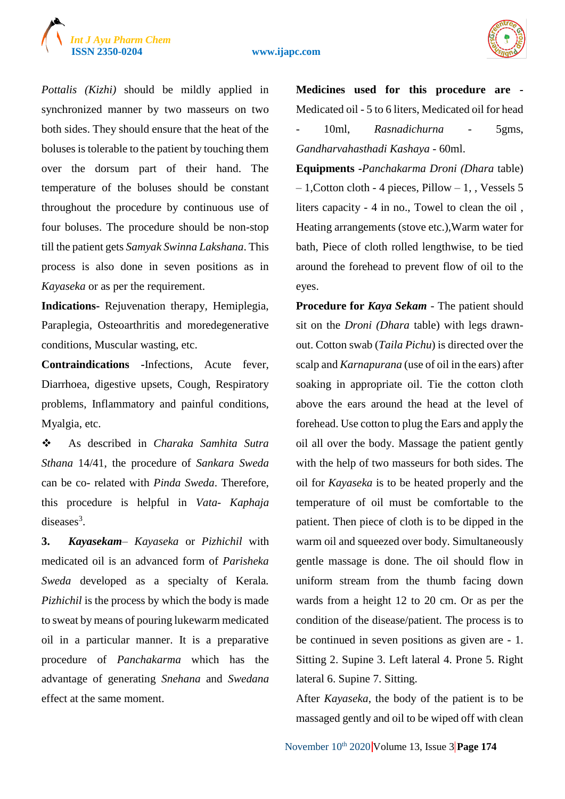



*Pottalis (Kizhi)* should be mildly applied in synchronized manner by two masseurs on two both sides. They should ensure that the heat of the boluses is tolerable to the patient by touching them over the dorsum part of their hand. The temperature of the boluses should be constant throughout the procedure by continuous use of four boluses. The procedure should be non-stop till the patient gets *Samyak Swinna Lakshana*. This process is also done in seven positions as in *Kayaseka* or as per the requirement.

**Indications-** Rejuvenation therapy, Hemiplegia, Paraplegia, Osteoarthritis and moredegenerative conditions, Muscular wasting, etc.

**Contraindications -**Infections, Acute fever, Diarrhoea, digestive upsets, Cough, Respiratory problems, Inflammatory and painful conditions, Myalgia, etc.

 As described in *Charaka Samhita Sutra Sthana* 14/41, the procedure of *Sankara Sweda* can be co- related with *Pinda Sweda*. Therefore, this procedure is helpful in *Vata- Kaphaja* diseases $3$ .

**3.** *Kayasekam– Kayaseka* or *Pizhichil* with medicated oil is an advanced form of *Parisheka Sweda* developed as a specialty of Kerala*. Pizhichil* is the process by which the body is made to sweat by means of pouring lukewarm medicated oil in a particular manner. It is a preparative procedure of *Panchakarma* which has the advantage of generating *Snehana* and *Swedana* effect at the same moment.

**Medicines used for this procedure are -** Medicated oil - 5 to 6 liters, Medicated oil for head - 10ml, *Rasnadichurna* - 5gms, *Gandharvahasthadi Kashaya* - 60ml.

**Equipments -***Panchakarma Droni (Dhara* table)  $-1$ , Cotton cloth - 4 pieces, Pillow  $-1$ , Vessels 5 liters capacity - 4 in no., Towel to clean the oil , Heating arrangements (stove etc.),Warm water for bath, Piece of cloth rolled lengthwise, to be tied around the forehead to prevent flow of oil to the eyes.

**Procedure for** *Kaya Sekam* - The patient should sit on the *Droni (Dhara* table) with legs drawnout. Cotton swab (*Taila Pichu*) is directed over the scalp and *Karnapurana* (use of oil in the ears) after soaking in appropriate oil. Tie the cotton cloth above the ears around the head at the level of forehead. Use cotton to plug the Ears and apply the oil all over the body. Massage the patient gently with the help of two masseurs for both sides. The oil for *Kayaseka* is to be heated properly and the temperature of oil must be comfortable to the patient. Then piece of cloth is to be dipped in the warm oil and squeezed over body. Simultaneously gentle massage is done. The oil should flow in uniform stream from the thumb facing down wards from a height 12 to 20 cm. Or as per the condition of the disease/patient. The process is to be continued in seven positions as given are - 1. Sitting 2. Supine 3. Left lateral 4. Prone 5. Right lateral 6. Supine 7. Sitting.

After *Kayaseka*, the body of the patient is to be massaged gently and oil to be wiped off with clean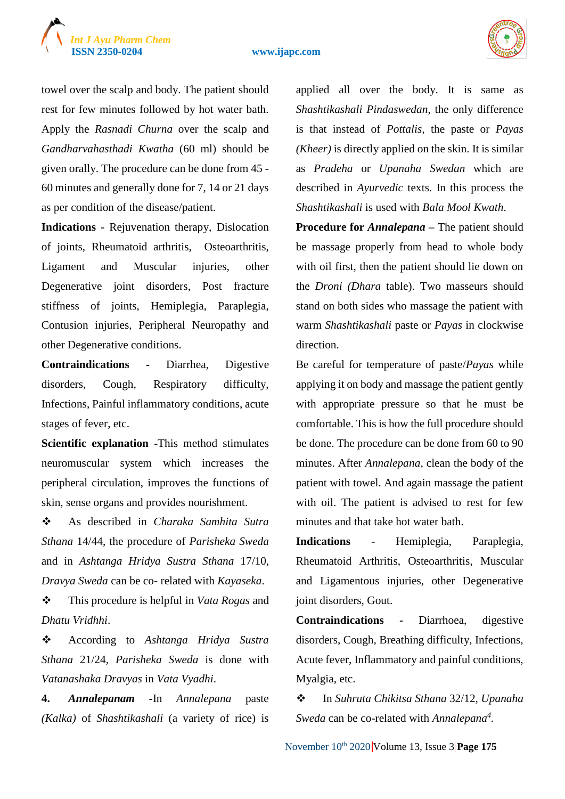# *Int J Ayu Pharm Chem*

#### **ISSN 2350-0204 www.ijapc.com**



towel over the scalp and body. The patient should rest for few minutes followed by hot water bath. Apply the *Rasnadi Churna* over the scalp and *Gandharvahasthadi Kwatha* (60 ml) should be given orally. The procedure can be done from 45 - 60 minutes and generally done for 7, 14 or 21 days as per condition of the disease/patient.

**Indications** - Rejuvenation therapy, Dislocation of joints, Rheumatoid arthritis, Osteoarthritis, Ligament and Muscular injuries, other Degenerative joint disorders, Post fracture stiffness of joints, Hemiplegia, Paraplegia, Contusion injuries, Peripheral Neuropathy and other Degenerative conditions.

**Contraindications -** Diarrhea, Digestive disorders, Cough, Respiratory difficulty, Infections, Painful inflammatory conditions, acute stages of fever, etc.

**Scientific explanation -**This method stimulates neuromuscular system which increases the peripheral circulation, improves the functions of skin, sense organs and provides nourishment.

 As described in *Charaka Samhita Sutra Sthana* 14/44, the procedure of *Parisheka Sweda* and in *Ashtanga Hridya Sustra Sthana* 17/10, *Dravya Sweda* can be co- related with *Kayaseka*.

 This procedure is helpful in *Vata Rogas* and *Dhatu Vridhhi*.

 According to *Ashtanga Hridya Sustra Sthana* 21/24, *Parisheka Sweda* is done with *Vatanashaka Dravyas* in *Vata Vyadhi*.

**4.** *Annalepanam -*In *Annalepana* paste *(Kalka)* of *Shashtikashali* (a variety of rice) is applied all over the body. It is same as *Shashtikashali Pindaswedan*, the only difference is that instead of *Pottalis,* the paste or *Payas (Kheer)* is directly applied on the skin. It is similar as *Pradeha* or *Upanaha Swedan* which are described in *Ayurvedic* texts. In this process the *Shashtikashali* is used with *Bala Mool Kwath*.

**Procedure for** *Annalepana* – The patient should be massage properly from head to whole body with oil first, then the patient should lie down on the *Droni (Dhara* table). Two masseurs should stand on both sides who massage the patient with warm *Shashtikashali* paste or *Payas* in clockwise direction.

Be careful for temperature of paste/*Payas* while applying it on body and massage the patient gently with appropriate pressure so that he must be comfortable. This is how the full procedure should be done. The procedure can be done from 60 to 90 minutes. After *Annalepana*, clean the body of the patient with towel. And again massage the patient with oil. The patient is advised to rest for few minutes and that take hot water bath.

**Indications** - Hemiplegia, Paraplegia, Rheumatoid Arthritis, Osteoarthritis, Muscular and Ligamentous injuries, other Degenerative joint disorders, Gout.

**Contraindications -** Diarrhoea, digestive disorders, Cough, Breathing difficulty, Infections, Acute fever, Inflammatory and painful conditions, Myalgia, etc.

 In *Suhruta Chikitsa Sthana* 32/12, *Upanaha Sweda* can be co-related with *Annalepana<sup>4</sup> .*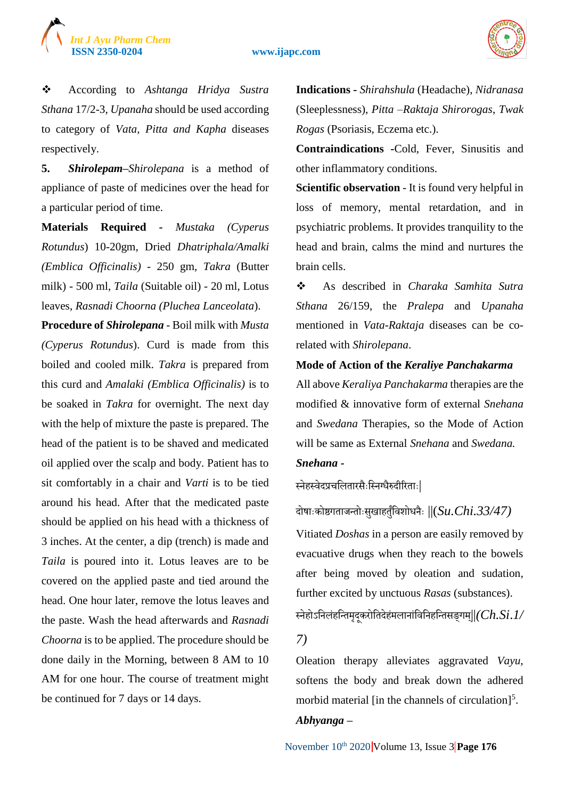

 According to *Ashtanga Hridya Sustra Sthana* 17/2-3, *Upanaha* should be used according to category of *Vata, Pitta and Kapha* diseases respectively.

**5.** *Shirolepam***–***Shirolepana* is a method of appliance of paste of medicines over the head for a particular period of time.

**Materials Required -** *Mustaka (Cyperus Rotundus*) 10-20gm, Dried *Dhatriphala/Amalki (Emblica Officinalis)* - 250 gm, *Takra* (Butter milk) - 500 ml, *Taila* (Suitable oil) - 20 ml, Lotus leaves, *Rasnadi Choorna (Pluchea Lanceolata*).

**Procedure of** *Shirolepana* - Boil milk with *Musta (Cyperus Rotundus*). Curd is made from this boiled and cooled milk. *Takra* is prepared from this curd and *Amalaki (Emblica Officinalis)* is to be soaked in *Takra* for overnight. The next day with the help of mixture the paste is prepared. The head of the patient is to be shaved and medicated oil applied over the scalp and body. Patient has to sit comfortably in a chair and *Varti* is to be tied around his head. After that the medicated paste should be applied on his head with a thickness of 3 inches. At the center, a dip (trench) is made and *Taila* is poured into it. Lotus leaves are to be covered on the applied paste and tied around the head. One hour later, remove the lotus leaves and the paste. Wash the head afterwards and *Rasnadi Choorna* is to be applied. The procedure should be done daily in the Morning, between 8 AM to 10 AM for one hour. The course of treatment might be continued for 7 days or 14 days.

**Indications -** *Shirahshula* (Headache), *Nidranasa* (Sleeplessness), *Pitta –Raktaja Shirorogas*, *Twak Rogas* (Psoriasis, Eczema etc.).

**Contraindications -**Cold, Fever, Sinusitis and other inflammatory conditions.

**Scientific observation** - It is found very helpful in loss of memory, mental retardation, and in psychiatric problems. It provides tranquility to the head and brain, calms the mind and nurtures the brain cells.

 As described in *Charaka Samhita Sutra Sthana* 26/159, the *Pralepa* and *Upanaha*  mentioned in *Vata-Raktaja* diseases can be corelated with *Shirolepana*.

#### **Mode of Action of the** *Keraliye Panchakarma*

All above *Keraliya Panchakarma* therapies are the modified & innovative form of external *Snehana*  and *Swedana* Therapies, so the Mode of Action will be same as External *Snehana* and *Swedana.*

### *Snehana -*

स्नेहस्वेदप्रचलितारसैःस्निग्धैरुदीरिताः|

दोषाैःकोष्ठगताजनतोैःसखु ाहतुंलुवशोधनैैः ||(*Su.Chi.33/47)*

Vitiated *Doshas* in a person are easily removed by evacuative drugs when they reach to the bowels after being moved by oleation and sudation, further excited by unctuous *Rasas* (substances).

स्नेहोऽलनिंहलनतमदृकूरोलतदहेमं िानांलवलनहलनतसङ्गम||्*(Ch.Si*.*1/*

#### *7)*

Oleation therapy alleviates aggravated *Vayu*, softens the body and break down the adhered morbid material [in the channels of circulation]<sup>5</sup>.

#### *Abhyanga* **–**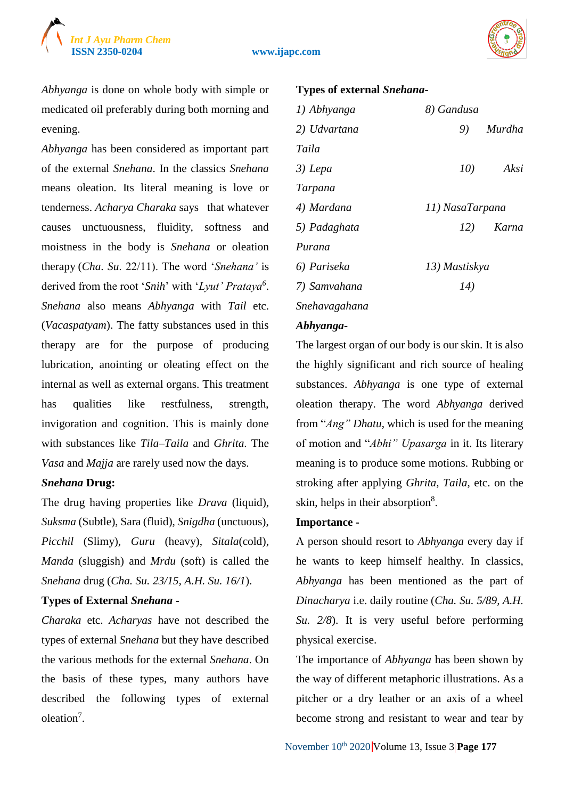

*Abhyanga* is done on whole body with simple or medicated oil preferably during both morning and evening.

*Abhyanga* has been considered as important part of the external *Snehana*. In the classics *Snehana* means oleation. Its literal meaning is love or tenderness. *Acharya Charaka* says that whatever causes unctuousness, fluidity, softness and moistness in the body is *Snehana* or oleation therapy (*Cha*. *Su*. 22/11). The word '*Snehana'* is derived from the root '*Snih*' with '*Lyut' Prataya<sup>6</sup>* . *Snehana* also means *Abhyanga* with *Tail* etc. (*Vacaspatyam*). The fatty substances used in this therapy are for the purpose of producing lubrication, anointing or oleating effect on the internal as well as external organs. This treatment has qualities like restfulness, strength, invigoration and cognition. This is mainly done with substances like *Tila–Taila* and *Ghrita*. The *Vasa* and *Majja* are rarely used now the days.

#### *Snehana* **Drug:**

The drug having properties like *Drava* (liquid), *Suksma* (Subtle), Sara (fluid), *Snigdha* (unctuous), *Picchil* (Slimy), *Guru* (heavy), *Sitala*(cold), *Manda* (sluggish) and *Mrdu* (soft) is called the *Snehana* drug (*Cha. Su. 23/15, A.H. Su. 16/1*).

#### **Types of External** *Snehana* **-**

*Charaka* etc. *Acharyas* have not described the types of external *Snehana* but they have described the various methods for the external *Snehana*. On the basis of these types, many authors have described the following types of external oleation<sup>7</sup>.

#### **Types of external** *Snehana***-**

| 1) Abhyanga   | 8) Gandusa          |
|---------------|---------------------|
| 2) Udvartana  | 9)<br>Murdha        |
| Taila         |                     |
| 3) Lepa       | 10)<br>Aksi         |
| Tarpana       |                     |
| 4) Mardana    | 11) NasaTarpana     |
| 5) Padaghata  | Karna<br><i>12)</i> |
| Purana        |                     |
| 6) Pariseka   | 13) Mastiskya       |
| 7) Samvahana  | 14)                 |
| Snehavagahana |                     |

#### *Abhyanga***-**

The largest organ of our body is our skin. It is also the highly significant and rich source of healing substances. *Abhyanga* is one type of external oleation therapy. The word *Abhyanga* derived from "*Ang" Dhatu*, which is used for the meaning of motion and "*Abhi" Upasarga* in it. Its literary meaning is to produce some motions. Rubbing or stroking after applying *Ghrita, Taila*, etc. on the skin, helps in their absorption<sup>8</sup>.

#### **Importance -**

A person should resort to *Abhyanga* every day if he wants to keep himself healthy. In classics, *Abhyanga* has been mentioned as the part of *Dinacharya* i.e. daily routine (*Cha. Su. 5/89, A.H. Su. 2/8*). It is very useful before performing physical exercise.

The importance of *Abhyanga* has been shown by the way of different metaphoric illustrations. As a pitcher or a dry leather or an axis of a wheel become strong and resistant to wear and tear by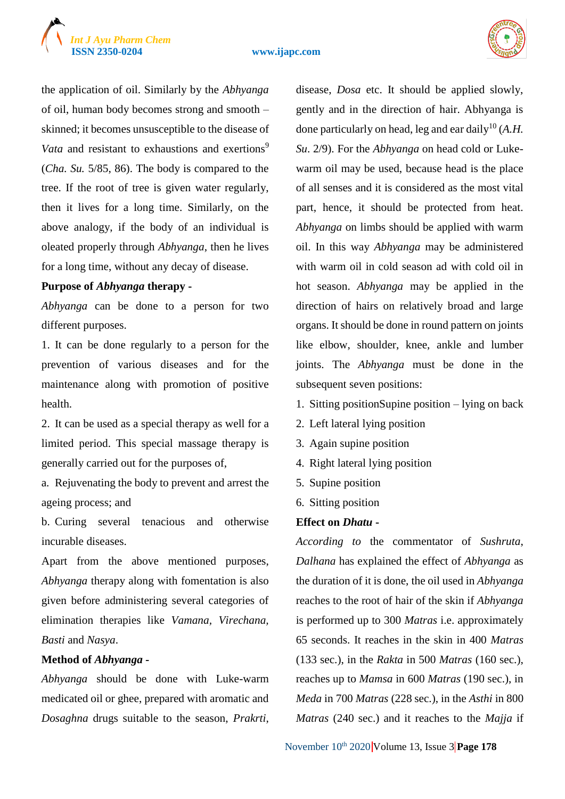



the application of oil. Similarly by the *Abhyanga* of oil, human body becomes strong and smooth – skinned; it becomes unsusceptible to the disease of *Vata* and resistant to exhaustions and exertions<sup>9</sup> (*Cha. Su.* 5/85, 86). The body is compared to the tree. If the root of tree is given water regularly, then it lives for a long time. Similarly, on the above analogy, if the body of an individual is oleated properly through *Abhyanga*, then he lives for a long time, without any decay of disease.

#### **Purpose of** *Abhyanga* **therapy -**

*Abhyanga* can be done to a person for two different purposes.

1. It can be done regularly to a person for the prevention of various diseases and for the maintenance along with promotion of positive health.

2. It can be used as a special therapy as well for a limited period. This special massage therapy is generally carried out for the purposes of,

a. Rejuvenating the body to prevent and arrest the ageing process; and

b. Curing several tenacious and otherwise incurable diseases.

Apart from the above mentioned purposes, *Abhyanga* therapy along with fomentation is also given before administering several categories of elimination therapies like *Vamana, Virechana, Basti* and *Nasya*.

#### **Method of** *Abhyanga -*

*Abhyanga* should be done with Luke-warm medicated oil or ghee, prepared with aromatic and *Dosaghna* drugs suitable to the season, *Prakrti*, disease, *Dosa* etc. It should be applied slowly, gently and in the direction of hair. Abhyanga is done particularly on head, leg and ear daily<sup>10</sup> (A.H. *Su*. 2/9). For the *Abhyanga* on head cold or Lukewarm oil may be used, because head is the place of all senses and it is considered as the most vital part, hence, it should be protected from heat. *Abhyanga* on limbs should be applied with warm oil. In this way *Abhyanga* may be administered with warm oil in cold season ad with cold oil in hot season. *Abhyanga* may be applied in the direction of hairs on relatively broad and large organs. It should be done in round pattern on joints like elbow, shoulder, knee, ankle and lumber joints. The *Abhyanga* must be done in the subsequent seven positions:

- 1. Sitting positionSupine position lying on back
- 2. Left lateral lying position
- 3. Again supine position
- 4. Right lateral lying position
- 5. Supine position
- 6. Sitting position

#### **Effect on** *Dhatu* **-**

*According to* the commentator of *Sushruta*, *Dalhana* has explained the effect of *Abhyanga* as the duration of it is done, the oil used in *Abhyanga* reaches to the root of hair of the skin if *Abhyanga* is performed up to 300 *Matras* i.e. approximately 65 seconds. It reaches in the skin in 400 *Matras* (133 sec.), in the *Rakta* in 500 *Matras* (160 sec.), reaches up to *Mamsa* in 600 *Matras* (190 sec.), in *Meda* in 700 *Matras* (228 sec.), in the *Asthi* in 800 *Matras* (240 sec.) and it reaches to the *Majja* if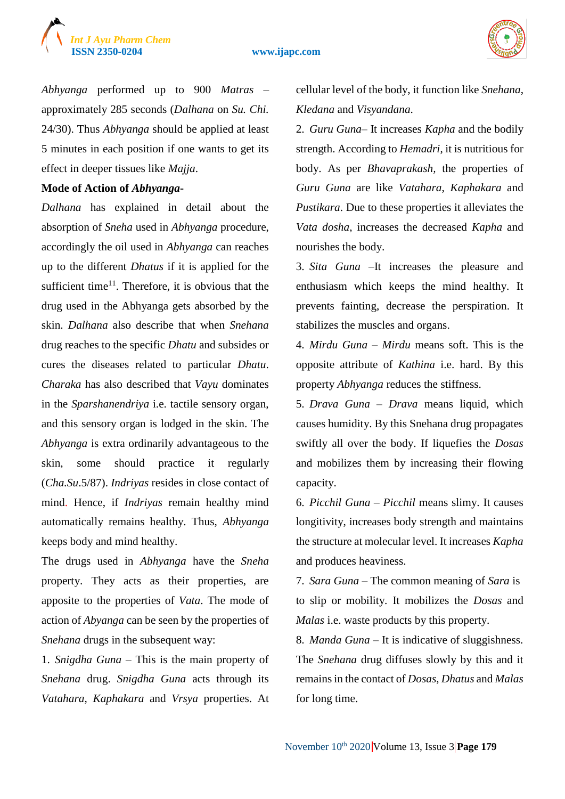



*Abhyanga* performed up to 900 *Matras* – approximately 285 seconds (*Dalhana* on *Su. Chi.* 24/30). Thus *Abhyanga* should be applied at least 5 minutes in each position if one wants to get its effect in deeper tissues like *Majja*.

#### **Mode of Action of** *Abhyanga***-**

*Dalhana* has explained in detail about the absorption of *Sneha* used in *Abhyanga* procedure, accordingly the oil used in *Abhyanga* can reaches up to the different *Dhatus* if it is applied for the sufficient time<sup>11</sup>. Therefore, it is obvious that the drug used in the Abhyanga gets absorbed by the skin. *Dalhana* also describe that when *Snehana* drug reaches to the specific *Dhatu* and subsides or cures the diseases related to particular *Dhatu*. *Charaka* has also described that *Vayu* dominates in the *Sparshanendriya* i.e. tactile sensory organ, and this sensory organ is lodged in the skin. The *Abhyanga* is extra ordinarily advantageous to the skin, some should practice it regularly (*Cha.Su*.5/87). *Indriyas* resides in close contact of mind. Hence, if *Indriyas* remain healthy mind automatically remains healthy. Thus, *Abhyanga* keeps body and mind healthy.

The drugs used in *Abhyanga* have the *Sneha* property. They acts as their properties, are apposite to the properties of *Vata*. The mode of action of *Abyanga* can be seen by the properties of *Snehana* drugs in the subsequent way:

1. *Snigdha Guna* – This is the main property of *Snehana* drug. *Snigdha Guna* acts through its *Vatahara*, *Kaphakara* and *Vrsya* properties. At cellular level of the body, it function like *Snehana*, *Kledana* and *Visyandana*.

2. *Guru Guna*– It increases *Kapha* and the bodily strength. According to *Hemadri*, it is nutritious for body. As per *Bhavaprakash,* the properties of *Guru Guna* are like *Vatahara*, *Kaphakara* and *Pustikara*. Due to these properties it alleviates the *Vata dosha*, increases the decreased *Kapha* and nourishes the body.

3. *Sita Guna* –It increases the pleasure and enthusiasm which keeps the mind healthy. It prevents fainting, decrease the perspiration. It stabilizes the muscles and organs.

4. *Mirdu Guna* – *Mirdu* means soft. This is the opposite attribute of *Kathina* i.e. hard. By this property *Abhyanga* reduces the stiffness.

5. *Drava Guna* – *Drava* means liquid, which causes humidity. By this Snehana drug propagates swiftly all over the body. If liquefies the *Dosas* and mobilizes them by increasing their flowing capacity.

6. *Picchil Guna* – *Picchil* means slimy. It causes longitivity, increases body strength and maintains the structure at molecular level. It increases *Kapha* and produces heaviness.

7. *Sara Guna* – The common meaning of *Sara* is to slip or mobility. It mobilizes the *Dosas* and *Malas* i.e. waste products by this property.

8. *Manda Guna* – It is indicative of sluggishness. The *Snehana* drug diffuses slowly by this and it remains in the contact of *Dosas*, *Dhatus* and *Malas* for long time.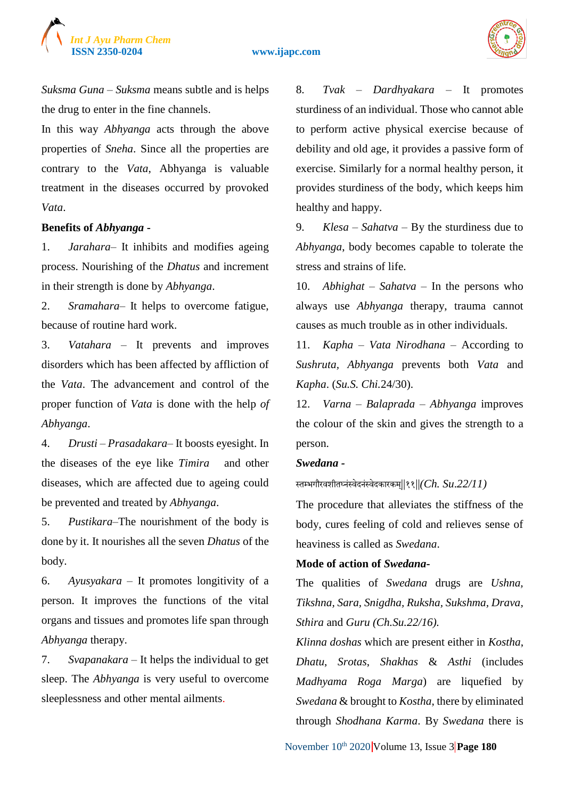

*Suksma Guna* – *Suksma* means subtle and is helps the drug to enter in the fine channels.

In this way *Abhyanga* acts through the above properties of *Sneha*. Since all the properties are contrary to the *Vata*, Abhyanga is valuable treatment in the diseases occurred by provoked *Vata*.

#### **Benefits of** *Abhyanga* **-**

1. *Jarahara*– It inhibits and modifies ageing process. Nourishing of the *Dhatus* and increment in their strength is done by *Abhyanga*.

2. *Sramahara*– It helps to overcome fatigue, because of routine hard work.

3. *Vatahara* – It prevents and improves disorders which has been affected by affliction of the *Vata*. The advancement and control of the proper function of *Vata* is done with the help *of Abhyanga*.

4. *Drusti* – *Prasadakara*– It boosts eyesight. In the diseases of the eye like *Timira* and other diseases, which are affected due to ageing could be prevented and treated by *Abhyanga*.

5. *Pustikara*–The nourishment of the body is done by it. It nourishes all the seven *Dhatus* of the body.

6. *Ayusyakara* – It promotes longitivity of a person. It improves the functions of the vital organs and tissues and promotes life span through *Abhyanga* therapy.

7. *Svapanakara* – It helps the individual to get sleep. The *Abhyanga* is very useful to overcome sleeplessness and other mental ailments.

8. *Tvak* – *Dardhyakara* – It promotes sturdiness of an individual. Those who cannot able to perform active physical exercise because of debility and old age, it provides a passive form of exercise. Similarly for a normal healthy person, it provides sturdiness of the body, which keeps him healthy and happy.

9. *Klesa* – *Sahatva* – By the sturdiness due to *Abhyanga*, body becomes capable to tolerate the stress and strains of life.

10. *Abhighat* – *Sahatva* – In the persons who always use *Abhyanga* therapy, trauma cannot causes as much trouble as in other individuals.

11. *Kapha* – *Vata Nirodhana* – According to *Sushruta, Abhyanga* prevents both *Vata* and *Kapha*. (*Su.S. Chi.*24/30).

12. *Varna* – *Balaprada* – *Abhyanga* improves the colour of the skin and gives the strength to a person.

#### *Swedana -*

स्तम्भगौरवशीतघ्नंस्वेदनंस्वेदकारकम||् ११||*(Ch. Su*.*22/11)*

The procedure that alleviates the stiffness of the body, cures feeling of cold and relieves sense of heaviness is called as *Swedana*.

#### **Mode of action of** *Swedana***-**

The qualities of *Swedana* drugs are *Ushna, Tikshna, Sara, Snigdha, Ruksha, Sukshma, Drava, Sthira* and *Guru (Ch.Su.22/16).*

*Klinna doshas* which are present either in *Kostha*, *Dhatu*, *Srotas*, *Shakhas* & *Asthi* (includes *Madhyama Roga Marga*) are liquefied by *Swedana* & brought to *Kostha*, there by eliminated through *Shodhana Karma*. By *Swedana* there is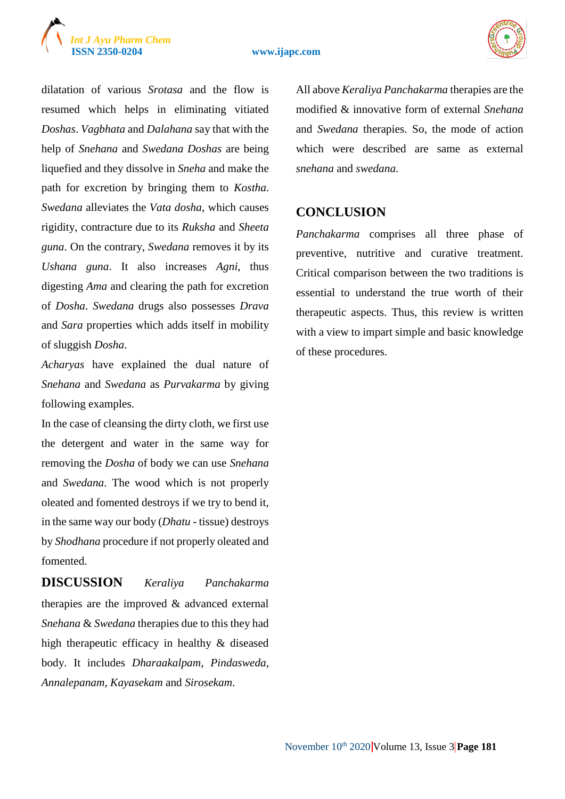# *Int J Ayu Pharm Chem*

#### **ISSN 2350-0204 www.ijapc.com**



dilatation of various *Srotasa* and the flow is resumed which helps in eliminating vitiated *Doshas*. *Vagbhata* and *Dalahana* say that with the help of *Snehana* and *Swedana Doshas* are being liquefied and they dissolve in *Sneha* and make the path for excretion by bringing them to *Kostha*. *Swedana* alleviates the *Vata dosha*, which causes rigidity, contracture due to its *Ruksha* and *Sheeta guna*. On the contrary, *Swedana* removes it by its *Ushana guna*. It also increases *Agni*, thus digesting *Ama* and clearing the path for excretion of *Dosha*. *Swedana* drugs also possesses *Drava* and *Sara* properties which adds itself in mobility of sluggish *Dosha*.

*Acharyas* have explained the dual nature of *Snehana* and *Swedana* as *Purvakarma* by giving following examples.

In the case of cleansing the dirty cloth, we first use the detergent and water in the same way for removing the *Dosha* of body we can use *Snehana* and *Swedana*. The wood which is not properly oleated and fomented destroys if we try to bend it, in the same way our body (*Dhatu* - tissue) destroys by *Shodhana* procedure if not properly oleated and fomented.

**DISCUSSION** *Keraliya Panchakarma* therapies are the improved & advanced external *Snehana* & *Swedana* therapies due to this they had high therapeutic efficacy in healthy & diseased body. It includes *Dharaakalpam*, *Pindasweda*, *Annalepanam*, *Kayasekam* and *Sirosekam*.

All above *Keraliya Panchakarma* therapies are the modified & innovative form of external *Snehana*  and *Swedana* therapies. So, the mode of action which were described are same as external *snehana* and *swedana.*

### **CONCLUSION**

*Panchakarma* comprises all three phase of preventive, nutritive and curative treatment. Critical comparison between the two traditions is essential to understand the true worth of their therapeutic aspects. Thus, this review is written with a view to impart simple and basic knowledge of these procedures.